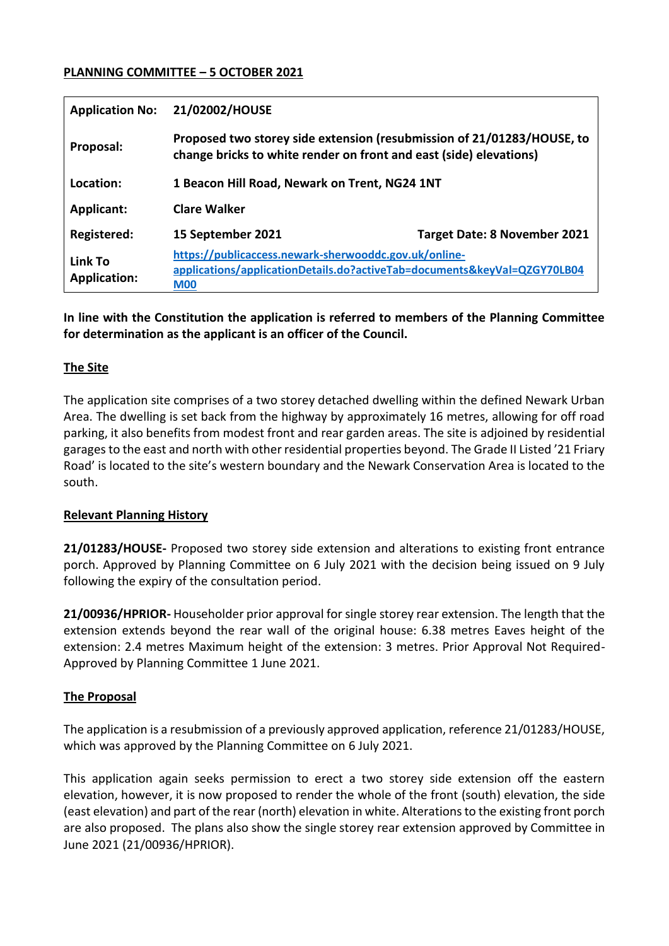#### **PLANNING COMMITTEE – 5 OCTOBER 2021**

| <b>Application No:</b>         | 21/02002/HOUSE                                                                                                                                  |                                     |
|--------------------------------|-------------------------------------------------------------------------------------------------------------------------------------------------|-------------------------------------|
| Proposal:                      | Proposed two storey side extension (resubmission of 21/01283/HOUSE, to<br>change bricks to white render on front and east (side) elevations)    |                                     |
| Location:                      | 1 Beacon Hill Road, Newark on Trent, NG24 1NT                                                                                                   |                                     |
| <b>Applicant:</b>              | <b>Clare Walker</b>                                                                                                                             |                                     |
| <b>Registered:</b>             | 15 September 2021                                                                                                                               | <b>Target Date: 8 November 2021</b> |
| Link To<br><b>Application:</b> | https://publicaccess.newark-sherwooddc.gov.uk/online-<br>applications/applicationDetails.do?activeTab=documents&keyVal=QZGY70LB04<br><b>M00</b> |                                     |

**In line with the Constitution the application is referred to members of the Planning Committee for determination as the applicant is an officer of the Council.** 

### **The Site**

The application site comprises of a two storey detached dwelling within the defined Newark Urban Area. The dwelling is set back from the highway by approximately 16 metres, allowing for off road parking, it also benefits from modest front and rear garden areas. The site is adjoined by residential garages to the east and north with other residential properties beyond. The Grade II Listed '21 Friary Road' is located to the site's western boundary and the Newark Conservation Area is located to the south.

#### **Relevant Planning History**

**21/01283/HOUSE-** Proposed two storey side extension and alterations to existing front entrance porch. Approved by Planning Committee on 6 July 2021 with the decision being issued on 9 July following the expiry of the consultation period.

**21/00936/HPRIOR-** Householder prior approval for single storey rear extension. The length that the extension extends beyond the rear wall of the original house: 6.38 metres Eaves height of the extension: 2.4 metres Maximum height of the extension: 3 metres. Prior Approval Not Required-Approved by Planning Committee 1 June 2021.

## **The Proposal**

The application is a resubmission of a previously approved application, reference 21/01283/HOUSE, which was approved by the Planning Committee on 6 July 2021.

This application again seeks permission to erect a two storey side extension off the eastern elevation, however, it is now proposed to render the whole of the front (south) elevation, the side (east elevation) and part of the rear (north) elevation in white. Alterations to the existing front porch are also proposed. The plans also show the single storey rear extension approved by Committee in June 2021 (21/00936/HPRIOR).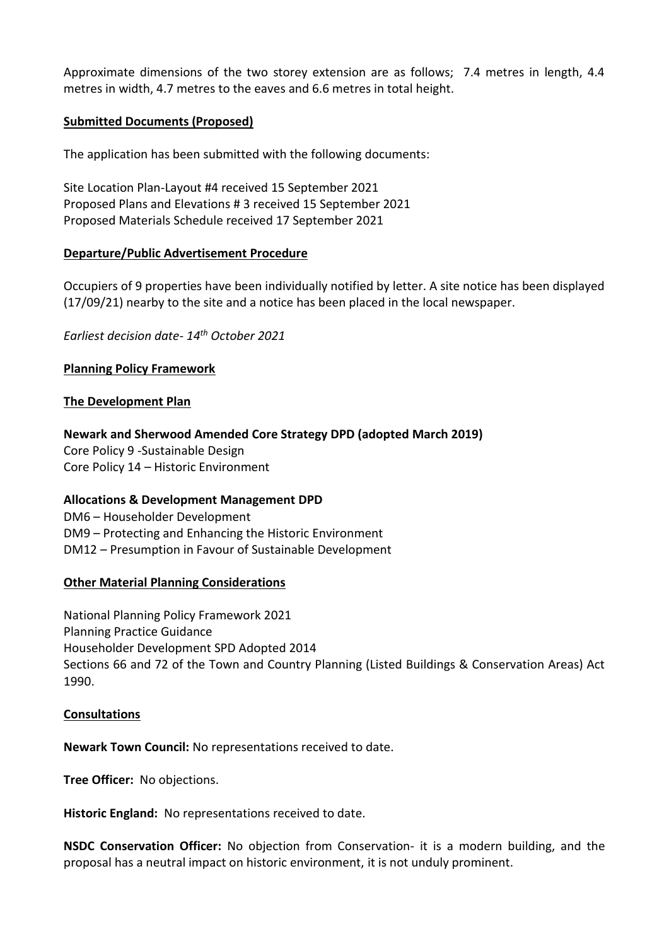Approximate dimensions of the two storey extension are as follows; 7.4 metres in length, 4.4 metres in width, 4.7 metres to the eaves and 6.6 metres in total height.

### **Submitted Documents (Proposed)**

The application has been submitted with the following documents:

Site Location Plan-Layout #4 received 15 September 2021 Proposed Plans and Elevations # 3 received 15 September 2021 Proposed Materials Schedule received 17 September 2021

### **Departure/Public Advertisement Procedure**

Occupiers of 9 properties have been individually notified by letter. A site notice has been displayed (17/09/21) nearby to the site and a notice has been placed in the local newspaper.

*Earliest decision date- 14th October 2021*

### **Planning Policy Framework**

#### **The Development Plan**

**Newark and Sherwood Amended Core Strategy DPD (adopted March 2019)**

Core Policy 9 -Sustainable Design Core Policy 14 – Historic Environment

## **Allocations & Development Management DPD**

DM6 – Householder Development DM9 – Protecting and Enhancing the Historic Environment DM12 – Presumption in Favour of Sustainable Development

#### **Other Material Planning Considerations**

National Planning Policy Framework 2021 Planning Practice Guidance Householder Development SPD Adopted 2014 Sections 66 and 72 of the Town and Country Planning (Listed Buildings & Conservation Areas) Act 1990.

#### **Consultations**

**Newark Town Council:** No representations received to date.

**Tree Officer:** No objections.

**Historic England:** No representations received to date.

**NSDC Conservation Officer:** No objection from Conservation- it is a modern building, and the proposal has a neutral impact on historic environment, it is not unduly prominent.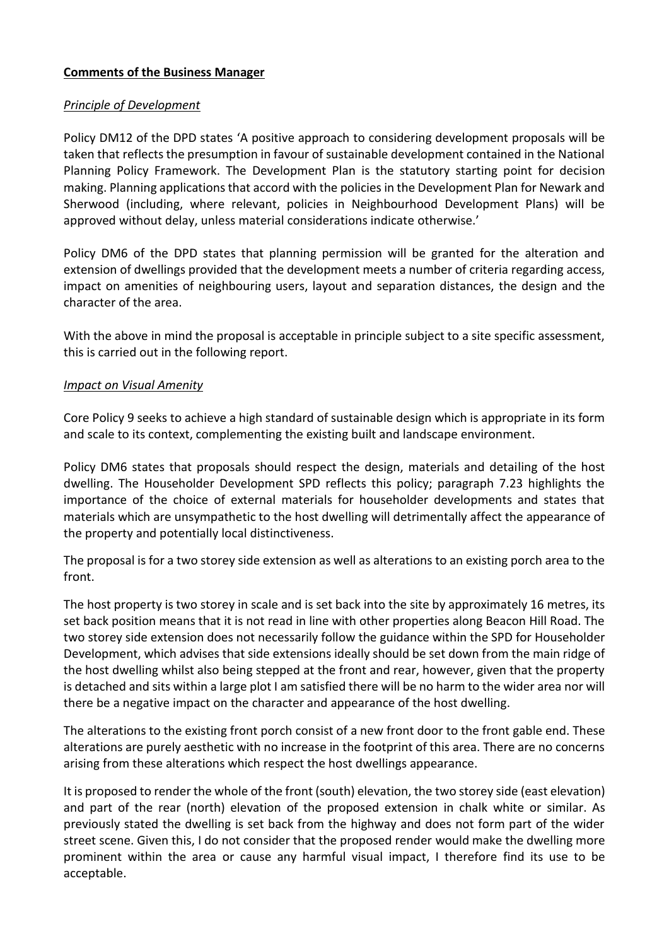### **Comments of the Business Manager**

### *Principle of Development*

Policy DM12 of the DPD states 'A positive approach to considering development proposals will be taken that reflects the presumption in favour of sustainable development contained in the National Planning Policy Framework. The Development Plan is the statutory starting point for decision making. Planning applications that accord with the policies in the Development Plan for Newark and Sherwood (including, where relevant, policies in Neighbourhood Development Plans) will be approved without delay, unless material considerations indicate otherwise.'

Policy DM6 of the DPD states that planning permission will be granted for the alteration and extension of dwellings provided that the development meets a number of criteria regarding access, impact on amenities of neighbouring users, layout and separation distances, the design and the character of the area.

With the above in mind the proposal is acceptable in principle subject to a site specific assessment, this is carried out in the following report.

### *Impact on Visual Amenity*

Core Policy 9 seeks to achieve a high standard of sustainable design which is appropriate in its form and scale to its context, complementing the existing built and landscape environment.

Policy DM6 states that proposals should respect the design, materials and detailing of the host dwelling. The Householder Development SPD reflects this policy; paragraph 7.23 highlights the importance of the choice of external materials for householder developments and states that materials which are unsympathetic to the host dwelling will detrimentally affect the appearance of the property and potentially local distinctiveness.

The proposal is for a two storey side extension as well as alterations to an existing porch area to the front.

The host property is two storey in scale and is set back into the site by approximately 16 metres, its set back position means that it is not read in line with other properties along Beacon Hill Road. The two storey side extension does not necessarily follow the guidance within the SPD for Householder Development, which advises that side extensions ideally should be set down from the main ridge of the host dwelling whilst also being stepped at the front and rear, however, given that the property is detached and sits within a large plot I am satisfied there will be no harm to the wider area nor will there be a negative impact on the character and appearance of the host dwelling.

The alterations to the existing front porch consist of a new front door to the front gable end. These alterations are purely aesthetic with no increase in the footprint of this area. There are no concerns arising from these alterations which respect the host dwellings appearance.

It is proposed to render the whole of the front (south) elevation, the two storey side (east elevation) and part of the rear (north) elevation of the proposed extension in chalk white or similar. As previously stated the dwelling is set back from the highway and does not form part of the wider street scene. Given this, I do not consider that the proposed render would make the dwelling more prominent within the area or cause any harmful visual impact, I therefore find its use to be acceptable.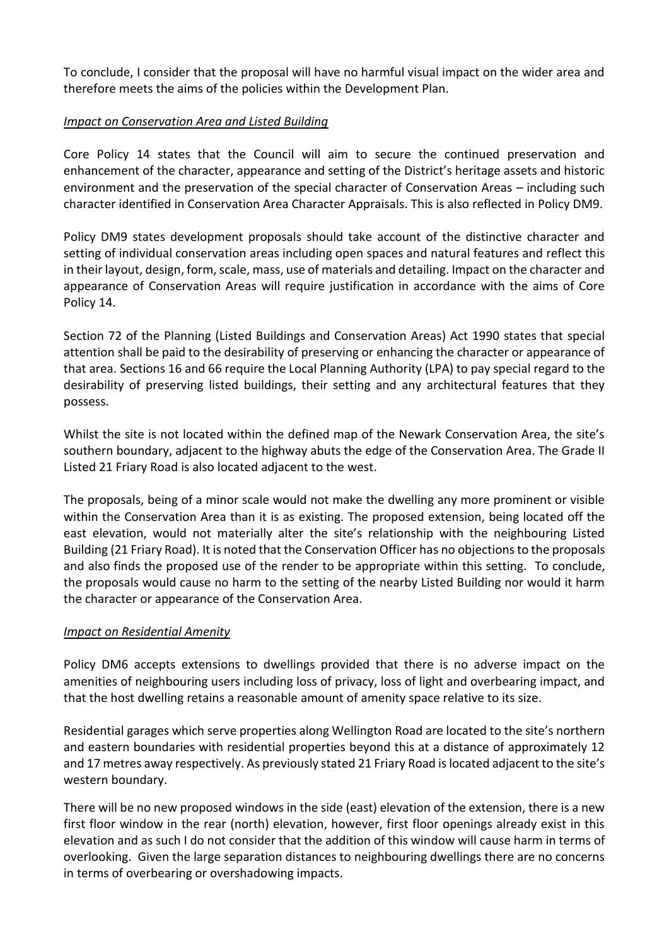To conclude, I consider that the proposal will have no harmful visual impact on the wider area and therefore meets the aims of the policies within the Development Plan.

# *Impact on Conservation Area and Listed Building*

Core Policy 14 states that the Council will aim to secure the continued preservation and enhancement of the character, appearance and setting of the District's heritage assets and historic environment and the preservation of the special character of Conservation Areas – including such character identified in Conservation Area Character Appraisals. This is also reflected in Policy DM9.

Policy DM9 states development proposals should take account of the distinctive character and setting of individual conservation areas including open spaces and natural features and reflect this in their layout, design, form, scale, mass, use of materials and detailing. Impact on the character and appearance of Conservation Areas will require justification in accordance with the aims of Core Policy 14.

Section 72 of the Planning (Listed Buildings and Conservation Areas) Act 1990 states that special attention shall be paid to the desirability of preserving or enhancing the character or appearance of that area. Sections 16 and 66 require the Local Planning Authority (LPA) to pay special regard to the desirability of preserving listed buildings, their setting and any architectural features that they possess.

Whilst the site is not located within the defined map of the Newark Conservation Area, the site's southern boundary, adjacent to the highway abuts the edge of the Conservation Area. The Grade II Listed 21 Friary Road is also located adjacent to the west.

The proposals, being of a minor scale would not make the dwelling any more prominent or visible within the Conservation Area than it is as existing. The proposed extension, being located off the east elevation, would not materially alter the site's relationship with the neighbouring Listed Building (21 Friary Road). It is noted that the Conservation Officer has no objections to the proposals and also finds the proposed use of the render to be appropriate within this setting. To conclude, the proposals would cause no harm to the setting of the nearby Listed Building nor would it harm the character or appearance of the Conservation Area.

## *Impact on Residential Amenity*

Policy DM6 accepts extensions to dwellings provided that there is no adverse impact on the amenities of neighbouring users including loss of privacy, loss of light and overbearing impact, and that the host dwelling retains a reasonable amount of amenity space relative to its size.

Residential garages which serve properties along Wellington Road are located to the site's northern and eastern boundaries with residential properties beyond this at a distance of approximately 12 and 17 metres away respectively. As previously stated 21 Friary Road is located adjacent to the site's western boundary.

There will be no new proposed windows in the side (east) elevation of the extension, there is a new first floor window in the rear (north) elevation, however, first floor openings already exist in this elevation and as such I do not consider that the addition of this window will cause harm in terms of overlooking. Given the large separation distances to neighbouring dwellings there are no concerns in terms of overbearing or overshadowing impacts.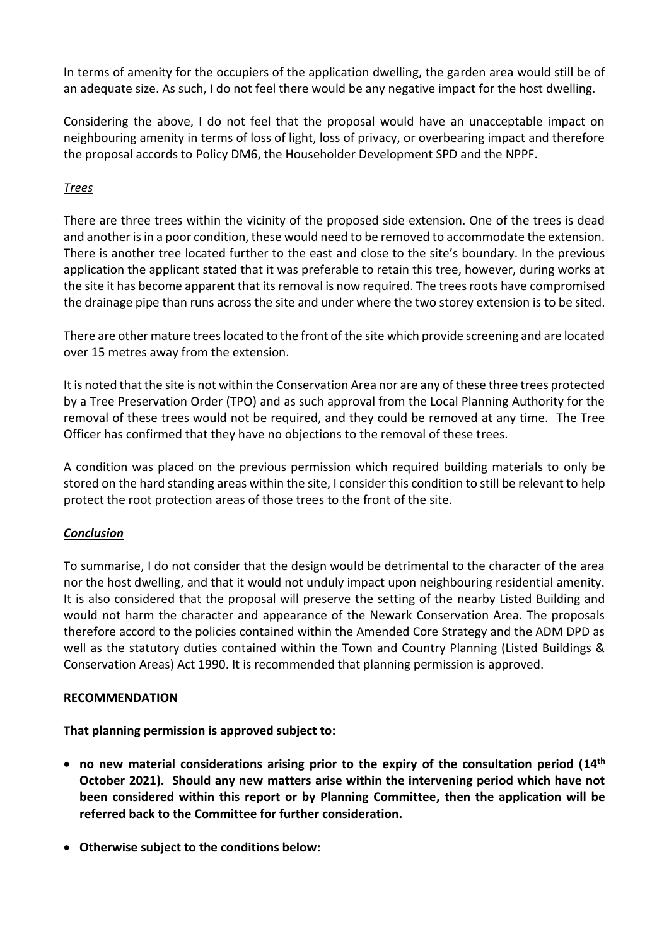In terms of amenity for the occupiers of the application dwelling, the garden area would still be of an adequate size. As such, I do not feel there would be any negative impact for the host dwelling.

Considering the above, I do not feel that the proposal would have an unacceptable impact on neighbouring amenity in terms of loss of light, loss of privacy, or overbearing impact and therefore the proposal accords to Policy DM6, the Householder Development SPD and the NPPF.

# *Trees*

There are three trees within the vicinity of the proposed side extension. One of the trees is dead and another is in a poor condition, these would need to be removed to accommodate the extension. There is another tree located further to the east and close to the site's boundary. In the previous application the applicant stated that it was preferable to retain this tree, however, during works at the site it has become apparent that its removal is now required. The trees roots have compromised the drainage pipe than runs across the site and under where the two storey extension is to be sited.

There are other mature trees located to the front of the site which provide screening and are located over 15 metres away from the extension.

It is noted that the site is not within the Conservation Area nor are any of these three trees protected by a Tree Preservation Order (TPO) and as such approval from the Local Planning Authority for the removal of these trees would not be required, and they could be removed at any time. The Tree Officer has confirmed that they have no objections to the removal of these trees.

A condition was placed on the previous permission which required building materials to only be stored on the hard standing areas within the site, I consider this condition to still be relevant to help protect the root protection areas of those trees to the front of the site.

## *Conclusion*

To summarise, I do not consider that the design would be detrimental to the character of the area nor the host dwelling, and that it would not unduly impact upon neighbouring residential amenity. It is also considered that the proposal will preserve the setting of the nearby Listed Building and would not harm the character and appearance of the Newark Conservation Area. The proposals therefore accord to the policies contained within the Amended Core Strategy and the ADM DPD as well as the statutory duties contained within the Town and Country Planning (Listed Buildings & Conservation Areas) Act 1990. It is recommended that planning permission is approved.

#### **RECOMMENDATION**

**That planning permission is approved subject to:**

- **no new material considerations arising prior to the expiry of the consultation period (14th October 2021). Should any new matters arise within the intervening period which have not been considered within this report or by Planning Committee, then the application will be referred back to the Committee for further consideration.**
- **Otherwise subject to the conditions below:**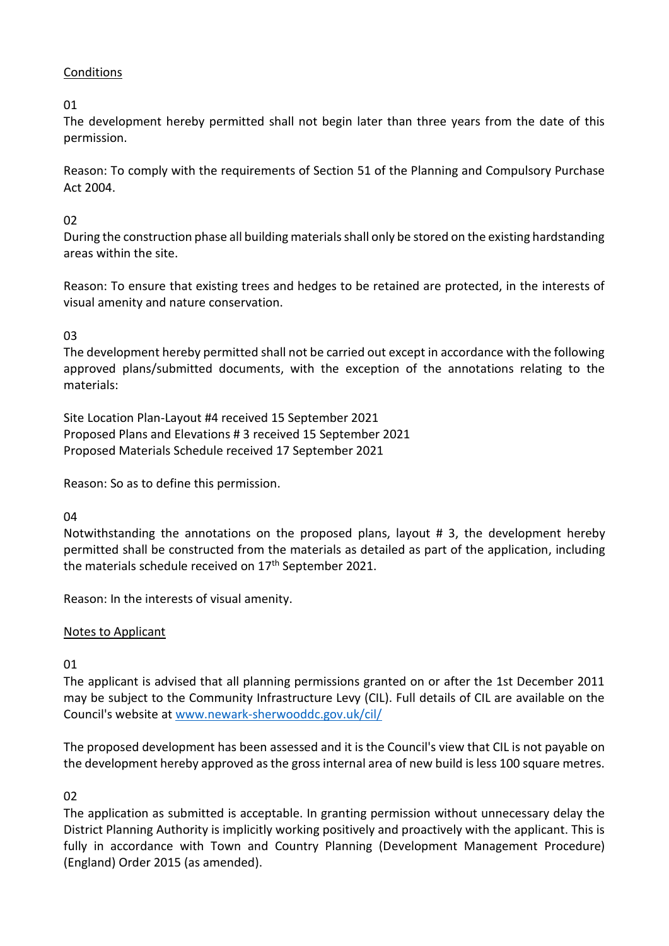# **Conditions**

01

The development hereby permitted shall not begin later than three years from the date of this permission.

Reason: To comply with the requirements of Section 51 of the Planning and Compulsory Purchase Act 2004.

# 02

During the construction phase all building materials shall only be stored on the existing hardstanding areas within the site.

Reason: To ensure that existing trees and hedges to be retained are protected, in the interests of visual amenity and nature conservation.

03

The development hereby permitted shall not be carried out except in accordance with the following approved plans/submitted documents, with the exception of the annotations relating to the materials:

Site Location Plan-Layout #4 received 15 September 2021 Proposed Plans and Elevations # 3 received 15 September 2021 Proposed Materials Schedule received 17 September 2021

Reason: So as to define this permission.

## $04$

Notwithstanding the annotations on the proposed plans, layout # 3, the development hereby permitted shall be constructed from the materials as detailed as part of the application, including the materials schedule received on 17<sup>th</sup> September 2021.

Reason: In the interests of visual amenity.

## Notes to Applicant

01

The applicant is advised that all planning permissions granted on or after the 1st December 2011 may be subject to the Community Infrastructure Levy (CIL). Full details of CIL are available on the Council's website at [www.newark-sherwooddc.gov.uk/cil/](http://www.newark-sherwooddc.gov.uk/cil/)

The proposed development has been assessed and it is the Council's view that CIL is not payable on the development hereby approved as the gross internal area of new build is less 100 square metres.

02

The application as submitted is acceptable. In granting permission without unnecessary delay the District Planning Authority is implicitly working positively and proactively with the applicant. This is fully in accordance with Town and Country Planning (Development Management Procedure) (England) Order 2015 (as amended).